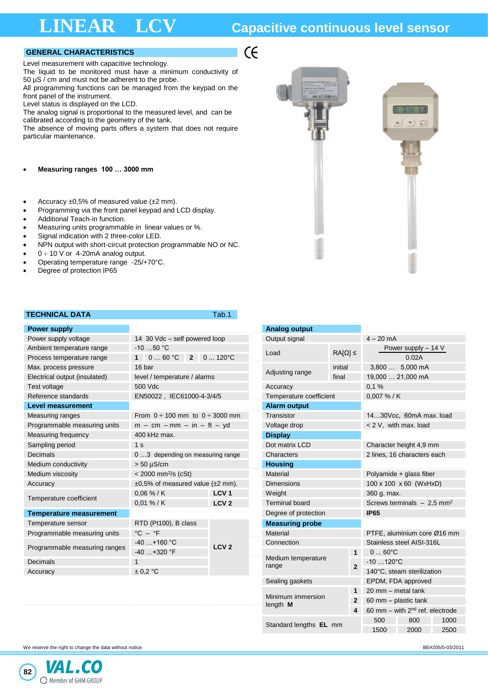## **LINEAR LCV Capacitive continuous level sensor**

### **GENERAL CHARACTERISTICS**

Level measurement with capacitive technology.

The liquid to be monitored must have a minimum conductivity of 50  $\mu$ S / cm and must not be adherent to the probe.

All programming functions can be managed from the keypad on the front panel of the instrument.

Level status is displayed on the LCD.

The analog signal is proportional to the measured level, and can be calibrated according to the geometry of the tank.

The absence of moving parts offers a system that does not require particular maintenance.

• **Measuring ranges 100 … 3000 mm**

- Accuracy  $\pm 0.5\%$  of measured value ( $\pm 2$  mm).
- Programming via the front panel keypad and LCD display.
- Additional Teach-in function.
- Measuring units programmable in linear values or %.
- Signal indication with 2 three-color LED.
- NPN output with short-circuit protection programmable NO or NC.
- $0 \div 10$  V or 4-20mA analog output.
- Operating temperature range -25/+70°C.
- Degree of protection IP65

## **TECHNICAL DATA TECHNICAL DATA**

 $\epsilon$ 

| <b>Power supply</b>                                           |                                              | <b>Analog output</b> |                             |                      |                                         |  |
|---------------------------------------------------------------|----------------------------------------------|----------------------|-----------------------------|----------------------|-----------------------------------------|--|
| Power supply voltage                                          | 14 30 Vdc - self powered loop                | Output signal        |                             | $4 - 20$ mA          |                                         |  |
| Ambient temperature range                                     | $-10$ 50 °C                                  | Load                 | $RA[Ω]$ ≤                   | Power supply $-14$ V |                                         |  |
| Process temperature range                                     | 1 $060 °C$ 2 $0120 °C$                       |                      |                             |                      | 0.02A                                   |  |
| Max. process pressure                                         | 16 bar                                       |                      | Adjusting range             | initial              | 3,800  5,000 mA                         |  |
| Electrical output (insulated)                                 | level / temperature / alarms                 |                      |                             | final                | 19,000  21,000 mA                       |  |
| Test voltage                                                  | 500 Vdc                                      |                      | Accuracy                    |                      | 0.1%                                    |  |
| Reference standards                                           | EN50022, IEC61000-4-3/4/5                    |                      | Temperature coefficient     |                      | $0.007\%$ / K                           |  |
| <b>Level measurement</b>                                      |                                              |                      | <b>Alarm output</b>         |                      |                                         |  |
| Measuring ranges                                              | From $0 \div 100$ mm to $0 \div 3000$ mm     |                      | Transistor                  |                      | 1430Vcc, 60mA max. load                 |  |
| Programmable measuring units                                  | $m - cm - mm - in - ft - yd$                 |                      | Voltage drop                |                      | < 2 V, with max. load                   |  |
| <b>Measuring frequency</b>                                    | 400 kHz max.                                 | <b>Display</b>       |                             |                      |                                         |  |
| Sampling period                                               | 1 <sub>s</sub>                               |                      | Dot matrix LCD              |                      | Character height 4,9 mm                 |  |
| <b>Decimals</b>                                               | 03 depending on measuring range              |                      | Characters                  |                      | 2 lines, 16 characters each             |  |
| Medium conductivity                                           | $> 50 \mu S/cm$                              |                      | <b>Housing</b>              |                      |                                         |  |
| Medium viscosity                                              | $<$ 2000 mm <sup>2</sup> /s (cSt)            |                      | Material                    |                      | Polyamide + glass fiber                 |  |
| Accuracy                                                      | $\pm 0.5\%$ of measured value ( $\pm 2$ mm). |                      | <b>Dimensions</b>           |                      | 100 x 100 x 60 (WxHxD)                  |  |
| Temperature coefficient                                       | $0.06\%$ / K                                 | LCV <sub>1</sub>     | Weight                      |                      | 360 g. max.                             |  |
|                                                               | $0.01 \% / K$                                | LCV <sub>2</sub>     | <b>Terminal board</b>       |                      | Screws terminals $-2.5$ mm <sup>2</sup> |  |
| <b>Temperature measurement</b>                                |                                              |                      | Degree of protection        |                      | <b>IP65</b>                             |  |
| Temperature sensor                                            | RTD (Pt100), B class                         |                      | <b>Measuring probe</b>      |                      |                                         |  |
| Programmable measuring units                                  | $^{\circ}$ C – $^{\circ}$ F                  |                      | Material                    |                      | PTFE, aluminium core Ø16 mm             |  |
| $-40+160$ °C<br>Programmable measuring ranges<br>$-40+320$ °F |                                              | LCV <sub>2</sub>     | Connection                  |                      | Stainless steel AISI-316L               |  |
|                                                               |                                              |                      |                             | 1                    | $060^{\circ}C$                          |  |
| Decimals                                                      |                                              |                      | Medium temperature<br>range | $\overline{2}$       | $-10$ 120 $^{\circ}$ C                  |  |
| Accuracy                                                      | ± 0.2 °C                                     |                      |                             |                      | 140°C, steam sterilization              |  |
|                                                               |                                              |                      | Sealing gaskets             |                      | FPDM FDA approved                       |  |

|                                                 |  |                   |                                                                      | <b>Analog output</b>                    |                                     |                             |                               |      |  |
|-------------------------------------------------|--|-------------------|----------------------------------------------------------------------|-----------------------------------------|-------------------------------------|-----------------------------|-------------------------------|------|--|
| 14 30 Vdc - self powered loop                   |  |                   | Output signal                                                        |                                         |                                     |                             | $4 - 20$ mA                   |      |  |
| $-1050$ °C<br>$060 °C$ 2 $0120 °C$<br>$1 \quad$ |  |                   | Load                                                                 | $RA[Ω]$ ≤                               |                                     |                             | Power supply $-14$ V<br>0.02A |      |  |
| 16 bar                                          |  |                   |                                                                      | initial                                 |                                     |                             | 3,800  5,000 mA               |      |  |
| level / temperature / alarms                    |  |                   | Adjusting range                                                      | final                                   |                                     |                             | 19,000  21,000 mA             |      |  |
| 500 Vdc                                         |  |                   | Accuracy                                                             |                                         |                                     |                             | 0,1%                          |      |  |
| EN50022, IEC61000-4-3/4/5                       |  |                   |                                                                      | Temperature coefficient                 |                                     |                             | 0,007 % / K                   |      |  |
|                                                 |  |                   | <b>Alarm output</b>                                                  |                                         |                                     |                             |                               |      |  |
| From $0 \div 100$ mm to $0 \div 3000$ mm        |  |                   | Transistor                                                           |                                         |                                     |                             | 1430Vcc, 60mA max. load       |      |  |
| $m - cm - mm - in - ft - yd$                    |  |                   | Voltage drop                                                         |                                         |                                     | < 2 V, with max. load       |                               |      |  |
| 400 kHz max.                                    |  |                   | <b>Display</b>                                                       |                                         |                                     |                             |                               |      |  |
| 1 <sub>s</sub>                                  |  |                   | Dot matrix LCD                                                       |                                         |                                     |                             | Character height 4,9 mm       |      |  |
| 03 depending on measuring range                 |  |                   | Characters                                                           |                                         |                                     |                             | 2 lines, 16 characters each   |      |  |
| > 50 µS/cm                                      |  |                   | <b>Housing</b>                                                       |                                         |                                     |                             |                               |      |  |
| $<$ 2000 mm <sup>2</sup> /s (cSt)               |  |                   | <b>Material</b>                                                      |                                         |                                     |                             | Polyamide + glass fiber       |      |  |
| ±0,5% of measured value (±2 mm).                |  | <b>Dimensions</b> |                                                                      |                                         |                                     | 100 x 100 x 60 (WxHxD)      |                               |      |  |
| 0,06 % / K                                      |  | Weight            | 360 g. max.                                                          |                                         |                                     |                             |                               |      |  |
| 0,01 % / K                                      |  | LCV <sub>2</sub>  | <b>Terminal board</b>                                                | Screws terminals $-2.5$ mm <sup>2</sup> |                                     |                             |                               |      |  |
|                                                 |  |                   | <b>IP65</b><br>Degree of protection                                  |                                         |                                     |                             |                               |      |  |
| RTD (Pt100), B class                            |  |                   | <b>Measuring probe</b>                                               |                                         |                                     |                             |                               |      |  |
| $\mathrm{^{\circ}C} - \mathrm{^{\circ}F}$       |  | Material          |                                                                      |                                         |                                     | PTFE, aluminium core Ø16 mm |                               |      |  |
| $-40+160$ °C<br>LCV <sub>2</sub>                |  | Connection        |                                                                      |                                         |                                     | Stainless steel AISI-316L   |                               |      |  |
| $-40+320$ °F                                    |  |                   |                                                                      |                                         |                                     | $060^{\circ}C$              |                               |      |  |
| $\mathbf{1}$                                    |  |                   | range                                                                | Medium temperature                      |                                     | $-10120^{\circ}C$           |                               |      |  |
| ± 0.2 °C                                        |  |                   | $\mathbf{2}$                                                         |                                         | 140°C, steam sterilization          |                             |                               |      |  |
|                                                 |  | Sealing gaskets   |                                                                      |                                         |                                     | EPDM, FDA approved          |                               |      |  |
|                                                 |  |                   | $\mathbf{1}$<br>Minimum immersion<br>$\mathbf{2}$<br>length $M$<br>4 |                                         | 20 mm - metal tank                  |                             |                               |      |  |
|                                                 |  |                   |                                                                      |                                         | 60 mm - plastic tank                |                             |                               |      |  |
|                                                 |  |                   |                                                                      |                                         | 60 mm $-$ with $2nd$ ref. electrode |                             |                               |      |  |
|                                                 |  |                   |                                                                      |                                         |                                     | 500                         | 800                           | 1000 |  |
|                                                 |  |                   |                                                                      | Standard lengths EL mm                  |                                     | 1500                        | 2000                          | 2500 |  |